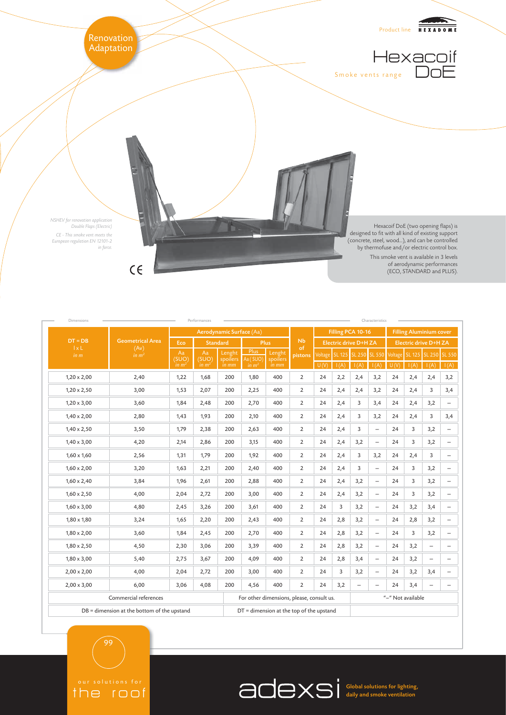

| Performances<br>Characteristics<br>Dimensions |                                            |                                  |                                  |                             |                                            |                             |                |                       |      |                       |                          |                                |      |                              |                          |
|-----------------------------------------------|--------------------------------------------|----------------------------------|----------------------------------|-----------------------------|--------------------------------------------|-----------------------------|----------------|-----------------------|------|-----------------------|--------------------------|--------------------------------|------|------------------------------|--------------------------|
| $DT = DB$<br>1xL<br>in m                      | <b>Geometrical Area</b><br>(Av)<br>in $m2$ | Aerodynamic Surface (Aa)         |                                  |                             |                                            |                             |                | Filling PCA 10-16     |      |                       |                          | <b>Filling Aluminium cover</b> |      |                              |                          |
|                                               |                                            | Eco                              | Standard                         |                             | Plus                                       |                             | N <sub>b</sub> | Electric drive D+H ZA |      |                       |                          | <b>Electric drive D+H ZA</b>   |      |                              |                          |
|                                               |                                            | Aa<br>(SUO)<br>in m <sup>2</sup> | Aa<br>(SUO)<br>in m <sup>2</sup> | Lenght<br>spoilers<br>in mm | Plus<br>Aa (SUO)<br>in m <sup>2</sup>      | Lenght<br>spoilers<br>in mm | of<br>pistons  | Voltage<br>U(V)       | I(A) | SL 125 SL 250<br>1(A) | <b>SL 550</b><br>I(A)    | Voltage<br>U(V)                | I(A) | SL 125 SL 250 SL 550<br>I(A) | I(A)                     |
| $1,20 \times 2,00$                            | 2,40                                       | 1,22                             | 1,68                             | 200                         | 1,80                                       | 400                         | $\overline{2}$ | 24                    | 2,2  | 2,4                   | 3,2                      | 24                             | 2,4  | 2,4                          | 3,2                      |
| $1,20 \times 2,50$                            | 3,00                                       | 1,53                             | 2,07                             | 200                         | 2,25                                       | 400                         | $\overline{2}$ | 24                    | 2,4  | 2,4                   | 3,2                      | 24                             | 2,4  | 3                            | 3,4                      |
| $1,20 \times 3,00$                            | 3,60                                       | 1,84                             | 2,48                             | 200                         | 2,70                                       | 400                         | $\overline{2}$ | 24                    | 2,4  | 3                     | 3,4                      | 24                             | 2,4  | 3,2                          |                          |
| $1,40 \times 2,00$                            | 2,80                                       | 1,43                             | 1,93                             | 200                         | 2,10                                       | 400                         | $\overline{2}$ | 24                    | 2,4  | 3                     | 3,2                      | 24                             | 2,4  | 3                            | 3,4                      |
| $1,40 \times 2,50$                            | 3,50                                       | 1,79                             | 2,38                             | 200                         | 2,63                                       | 400                         | $\overline{2}$ | 24                    | 2,4  | 3                     | $\overline{\phantom{0}}$ | 24                             | 3    | 3,2                          | $\overline{\phantom{m}}$ |
| $1,40 \times 3,00$                            | 4,20                                       | 2,14                             | 2,86                             | 200                         | 3,15                                       | 400                         | $\overline{2}$ | 24                    | 2,4  | 3,2                   | $\overline{\phantom{a}}$ | 24                             | 3    | 3,2                          | $\overline{\phantom{m}}$ |
| $1,60 \times 1,60$                            | 2,56                                       | 1,31                             | 1,79                             | 200                         | 1,92                                       | 400                         | $\overline{2}$ | 24                    | 2,4  | 3                     | 3,2                      | 24                             | 2,4  | 3                            | $\overline{\phantom{0}}$ |
| $1,60 \times 2,00$                            | 3,20                                       | 1,63                             | 2,21                             | 200                         | 2,40                                       | 400                         | $\overline{2}$ | 24                    | 2,4  | 3                     | $\overline{\phantom{a}}$ | 24                             | 3    | 3,2                          | $\overline{\phantom{m}}$ |
| $1,60 \times 2,40$                            | 3,84                                       | 1,96                             | 2,61                             | 200                         | 2,88                                       | 400                         | $\overline{2}$ | 24                    | 2,4  | 3,2                   | $\overline{\phantom{m}}$ | 24                             | 3    | 3,2                          | $\overline{\phantom{m}}$ |
| $1,60 \times 2,50$                            | 4,00                                       | 2,04                             | 2,72                             | 200                         | 3,00                                       | 400                         | $\overline{2}$ | 24                    | 2,4  | 3,2                   | $\overline{\phantom{a}}$ | 24                             | 3    | 3,2                          | $\overline{\phantom{m}}$ |
| $1,60 \times 3,00$                            | 4,80                                       | 2,45                             | 3,26                             | 200                         | 3,61                                       | 400                         | $\overline{2}$ | 24                    | 3    | 3,2                   | $\overline{\phantom{m}}$ | 24                             | 3,2  | 3,4                          | $\overline{\phantom{m}}$ |
| $1,80 \times 1,80$                            | 3,24                                       | 1,65                             | 2,20                             | 200                         | 2,43                                       | 400                         | $\overline{2}$ | 24                    | 2,8  | 3,2                   | $\overline{\phantom{0}}$ | 24                             | 2,8  | 3,2                          | $\overline{\phantom{m}}$ |
| $1,80 \times 2,00$                            | 3,60                                       | 1,84                             | 2,45                             | 200                         | 2,70                                       | 400                         | $\overline{2}$ | 24                    | 2,8  | 3,2                   | $\qquad \qquad -$        | 24                             | 3    | 3,2                          |                          |
| $1,80 \times 2,50$                            | 4,50                                       | 2,30                             | 3,06                             | 200                         | 3,39                                       | 400                         | $\overline{2}$ | 24                    | 2,8  | 3,2                   | $\overline{\phantom{m}}$ | 24                             | 3,2  | $\overline{\phantom{0}}$     | $\overline{\phantom{m}}$ |
| $1,80 \times 3,00$                            | 5,40                                       | 2,75                             | 3,67                             | 200                         | 4,09                                       | 400                         | $\overline{2}$ | 24                    | 2,8  | 3,4                   | $\overline{\phantom{0}}$ | 24                             | 3,2  | $\qquad \qquad -$            | $\overline{\phantom{0}}$ |
| $2,00 \times 2,00$                            | 4,00                                       | 2,04                             | 2,72                             | 200                         | 3,00                                       | 400                         | $\overline{2}$ | 24                    | 3    | 3,2                   | $\overline{\phantom{m}}$ | 24                             | 3,2  | 3,4                          | $\overline{\phantom{0}}$ |
| $2,00 \times 3,00$                            | 6,00                                       | 3,06                             | 4,08                             | 200                         | 4,56                                       | 400                         | $\overline{2}$ | 24                    | 3,2  | $\qquad \qquad -$     |                          | 24                             | 3,4  | $\overline{\phantom{0}}$     |                          |
| Commercial references                         |                                            |                                  |                                  |                             | For other dimensions, please, consult us.  |                             |                |                       |      | "-" Not available     |                          |                                |      |                              |                          |
| DB = dimension at the bottom of the upstand   |                                            |                                  |                                  |                             | $DT =$ dimension at the top of the upstand |                             |                |                       |      |                       |                          |                                |      |                              |                          |

99

the roof

Global solutions for lighting, daily and smoke ventilation